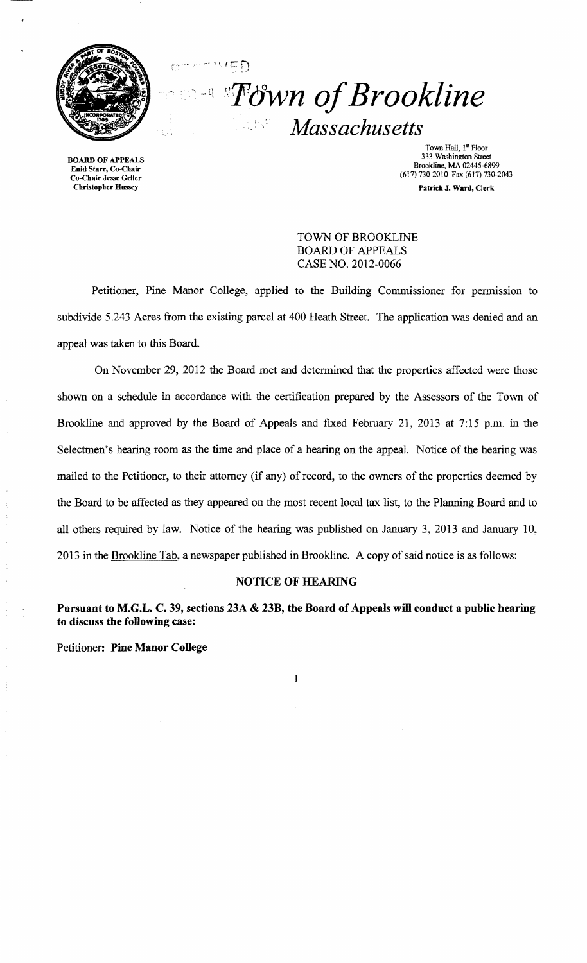

\_,. *r'· ,* 

 $F \subseteq \bigcap$ 

*::Tdwn ofBrookline Massachusetts*  WBC.

Town Hall, 1<sup>st</sup> Floor<br>333 Washington Street 333 Washington Street<br>
333 Washington Street<br>
333 Washington Street<br>
333 Washington Street<br>
233 Washington Street<br>
233 Washington Street<br>
233 Washington Street<br>
233 Washington Street<br>
233 Washington Street<br>
233 Washington Patrick J. Ward, Clerk

> TOWN OF BROOKLINE BOARD OF APPEALS CASE NO. 2012-0066

Petitioner, Pine Manor College, applied to the Building Commissioner for permission to subdivide 5.243 Acres from the existing parcel at 400 Heath Street. The application was denied and an appeal was taken to this Board.

On November 29, 2012 the Board met and determined that the properties affected were those shown on a schedule in accordance with the certification prepared by the Assessors of the Town of Brookline and approved by the Board of Appeals and fixed February 21, 2013 at 7:15 p.m. in the Selectmen's hearing room as the time and place of a hearing on the appeal. Notice of the hearing was mailed to the Petitioner, to their attorney (if any) of record, to the owners of the properties deemed by the Board to be affected as they appeared on the most recent local tax list, to the Planning Board and to all others required by law. Notice of the hearing was published on January 3, 2013 and January 10, 2013 in the Brookline Tab, a newspaper published in Brookline. A copy of said notice is as follows:

### NOTICE OF HEARING

Pursuant to M.G.L. C. 39, sections 23A & 23B, the Board of Appeals will conduct a public hearing to discuss the following case:

 $\mathbf{1}$ 

Petitioner: Pine Manor College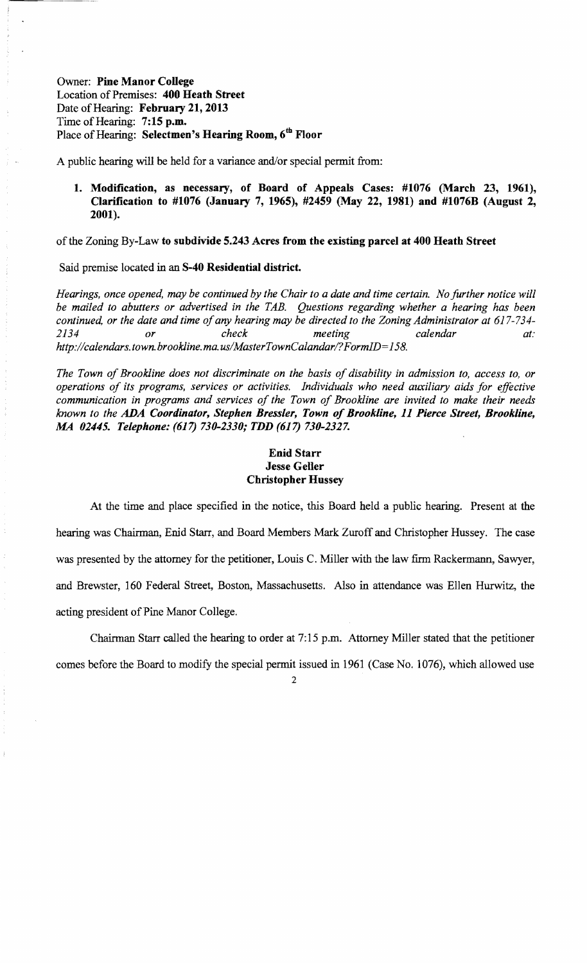Owner: Pine Manor College Location of Premises: 400 Heath Street Date of Hearing: February 21, 2013 Time of Hearing:  $7:15$  p.m. Place of Hearing: Selectmen's Hearing Room, 6<sup>th</sup> Floor

A public hearing will be held for a variance and/or special permit from:

1. Modification, as necessary, of Board of Appeals Cases: #1076 (March 23, 1961), Clarification to #1076 (January 7, 1965), #2459 (May 22, 1981) and #1076B (August 2, 2001).

of the Zoning By-Law to subdivide 5.243 Acres from the existing parcel at 400 Heath Street

Said premise located in an S-40 Residential district.

*Hearings, once opened, may be continued by the Chair to a date and time certain. No further notice will be mailed to abutters or advertised in the TAB. Questions regarding whether a hearing has been continued, or the date and time of any hearing may be directed to the Zoning Administrator at 617-734-2134 or check meeting calendar at: http://calendars.town.brookline.ma.usIMasterTownCalandarl? FormID= 158.* 

*The Town of Brookline does not discriminate on the basis of disability in admission to, access to, or operations of its programs, services or activities. Individuals who need auxiliary aids for effective communication in programs and services of the Town of Brookline are invited to make their needs known to the ADA Coordinator, Stephen Bressler, Town 01 Brookline,* 11 *Pierce Street, Brookline, MA 02445. Telephone:* (617) *730-2330; TDD* (617) *730-2327.* 

# Enid Starr Jesse Geller Christopher Hussey

At the time and place specified in the notice, this Board held a public hearing. Present at the hearing was Chairman, Enid Starr, and Board Members Mark Zuroff and Christopher Hussey. The case was presented by the attorney for the petitioner, Louis C. Miller with the law firm Rackermann, Sawyer, and Brewster, 160 Federal Street, Boston, Massachusetts. Also in attendance was Ellen Hurwitz, the acting president of Pine Manor College.

Chairman Starr called the hearing to order at 7:15 p.m. Attorney Miller stated that the petitioner

comes before the Board to modify the special permit issued in 1961 (Case No. 1076), which allowed use

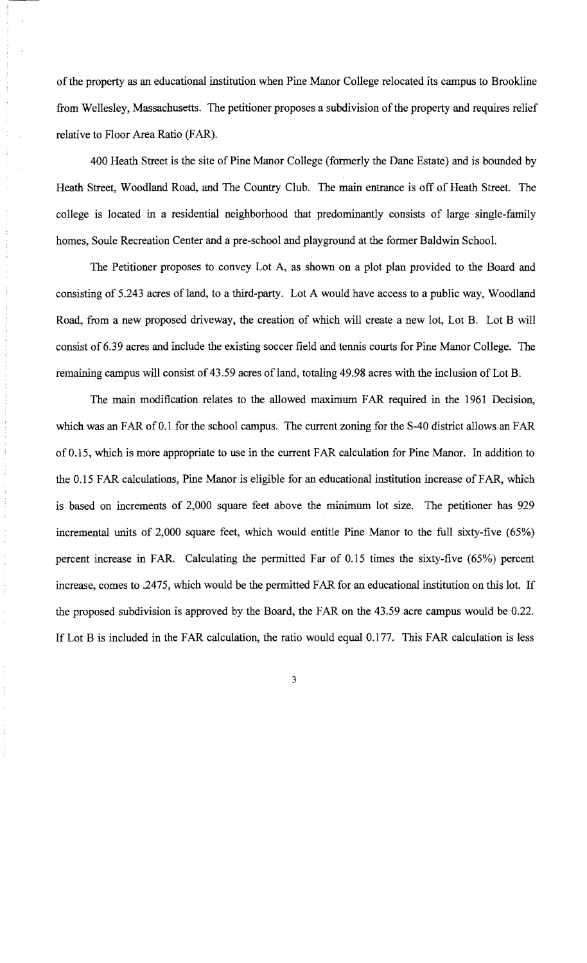of the property as an educational institution when Pine Manor College relocated its campus to Brookline from Wellesley, Massachusetts. The petitioner proposes a subdivision of the property and requires relief relative to Floor Area Ratio (FAR).

400 Heath Street is the site of Pine Manor College (formerly the Dane Estate) and is bounded by Heath Street, Woodland Road, and The Country Club. The main entrance is off of Heath Street. The college is located in a residential neighborhood that predominantly consists of large single-family homes, Soule Recreation Center and a pre-school and playground at the former Baldwin School.

The Petitioner proposes to convey Lot A, as shown on a plot plan provided to the Board and consisting of 5.243 acres of land, to a third-party. Lot A would have access to a public way, Woodland Road, from a new proposed driveway, the creation of which will create a new lot, Lot B. Lot B will consist of 6.39 acres and include the existing soccer field and tennis courts for Pine Manor College. The remaining campus will consist of 43.59 acres of land, totaling 49.98 acres with the inclusion of Lot B.

The main modification relates to the allowed maximum FAR required in the 1961 Decision, which was an FAR of 0.1 for the school campus. The current zoning for the S-40 district allows an FAR of 0.15, which is more appropriate to use in the current FAR calculation for Pine Manor. In addition to the 0.15 FAR calculations, Pine Manor is eligible for an educational institution increase of FAR, which is based on increments of 2,000 square feet above the minimum lot size. The petitioner has 929 incremental units of 2,000 square feet, which would entitle Pine Manor to the full sixty-five (65%) percent increase in FAR. Calculating the permitted Far of 0.15 times the sixty-five (65%) percent increase, comes to .2475, which would be the permitted FAR for an educational institution on this lot. If the proposed subdivision is approved by the Board, the FAR on the 43.59 acre campus would be 0.22. If Lot B is included in the FAR calculation, the ratio would equal 0.177. This FAR calculation is less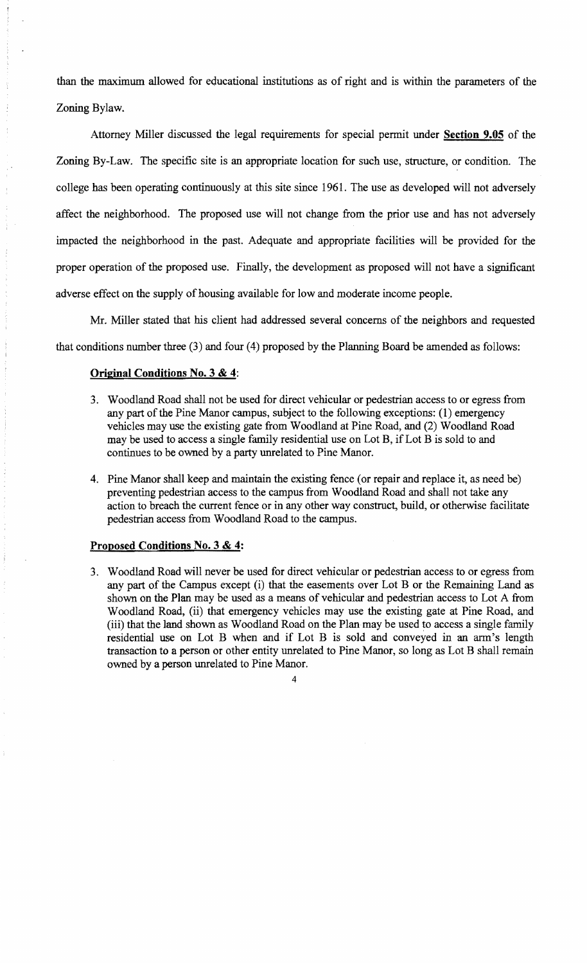than the maximum allowed for educational institutions as of right and is within the parameters of the Zoning Bylaw.

Attorney Miller discussed the legal requirements for special permit under Section 9.05 of the Zoning By-Law. The specific site is an appropriate location for such use, structure, or condition. The college has been operating continuously at this site since 1961. The use as developed will not adversely affect the neighborhood. The proposed use will not change from the prior use and has not adversely impacted the neighborhood in the past. Adequate and appropriate facilities will be provided for the proper operation of the proposed use. Finally, the development as proposed will not have a significant adverse effect on the supply of housing available for low and moderate income people.

Mr. Miller stated that his client had addressed several concerns of the neighbors and requested that conditions number three (3) and four (4) proposed by the Planning Board be amended as follows:

### Original Conditions No.3 & 4:

- 3. Woodland Road shall not be used for direct vehicular or pedestrian access to or egress from any part of the Pine Manor campus, subject to the following exceptions: (1) emergency vehicles may use the existing gate from Woodland at Pine Road, and (2) Woodland Road may be used to access a single family residential use on Lot B, ifLot B is sold to and continues to be owned by a party unrelated to Pine Manor.
- 4. Pine Manor shall keep and maintain the existing fence (or repair and replace it, as need be) preventing pedestrian access to the campus from Woodland Road and shall not take any action to breach the current fence or in any other way construct, build, or otherwise facilitate pedestrian access from Woodland Road to the campus.

## Proposed Conditions No.3 & 4:

3. Woodland Road will never be used for direct vehicular or pedestrian access to or egress from any part of the Campus except (i) that the easements over Lot B or the Remaining Land as shown on the Plan may be used as a means of vehicular and pedestrian access to Lot A from Woodland Road, (ii) that emergency vehicles may use the existing gate at Pine Road, and (iii) that the land shown as Woodland Road on the Plan may be used to access a single family residential use on Lot B when and if Lot B is sold and conveyed in an arm's length transaction to a person or other entity unrelated to Pine Manor, so long as Lot B shall remain owned by a person unrelated to Pine Manor.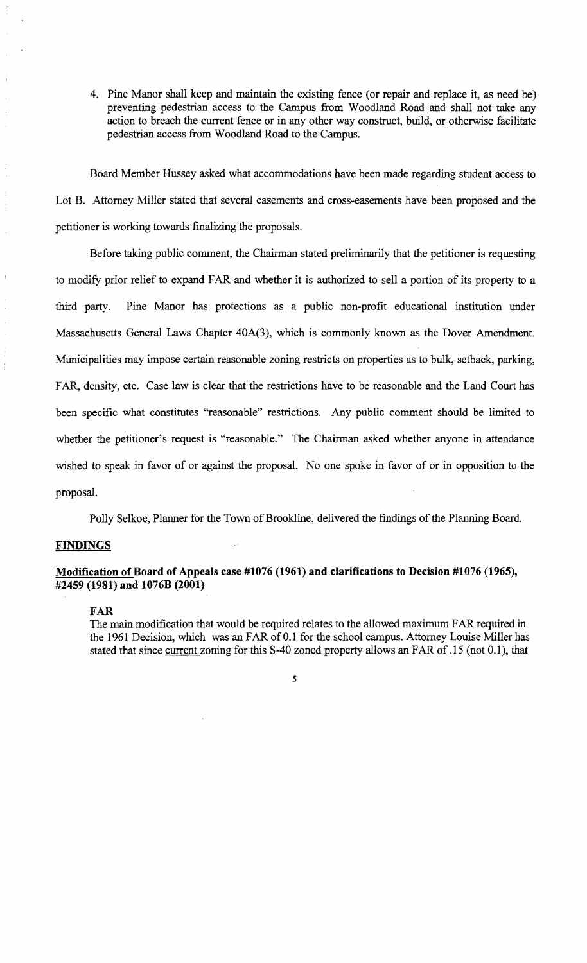4. Pine Manor shall keep and maintain the existing fence (or repair and replace it, as need be) preventing pedestrian access to the Campus from Woodland Road and shall not take any action to breach the current fence or in any other way construct, build, or otherwise facilitate pedestrian access from Woodland Road to the Campus.

Board Member Hussey asked what accommodations have been made regarding student access to Lot B. Attorney Miller stated that several easements and cross-easements have been proposed and the petitioner is working towards finalizing the proposals.

Before taking public comment, the Chairman stated preliminarily that the petitioner is requesting to modify prior relief to expand FAR and whether it is authorized to sell a portion of its property to a third party. Pine Manor has protections as a public non-profit educational institution under Massachusetts General Laws Chapter 40A(3), which is commonly known as the Dover Amendment. Municipalities may impose certain reasonable zoning restricts on properties as to bulk, setback, parking, FAR, density, etc. Case law is clear that the restrictions have to be reasonable and the Land Court has been specific what constitutes "reasonable" restrictions. Any public comment should be limited to whether the petitioner's request is "reasonable." The Chairman asked whether anyone in attendance wished to speak in favor of or against the proposal. No one spoke in favor of or in opposition to the proposal.

Polly Selkoe, Planner for the Town of Brookline, delivered the findings of the Planning Board.

# **FINDINGS**

## Modification of Board of Appeals case #1076 (1961) and clarifications to Decision #1076 (1965), #2459 (1981) and 1076B (2001)

#### FAR

The main modification that would be required relates to the allowed maximum FAR required in the 1961 Decision, which was an FAR of 0.1 for the school campus. Attorney Louise Miller has stated that since current zoning for this 8-40 zoned property allows an FAR of.15 (not 0.1), that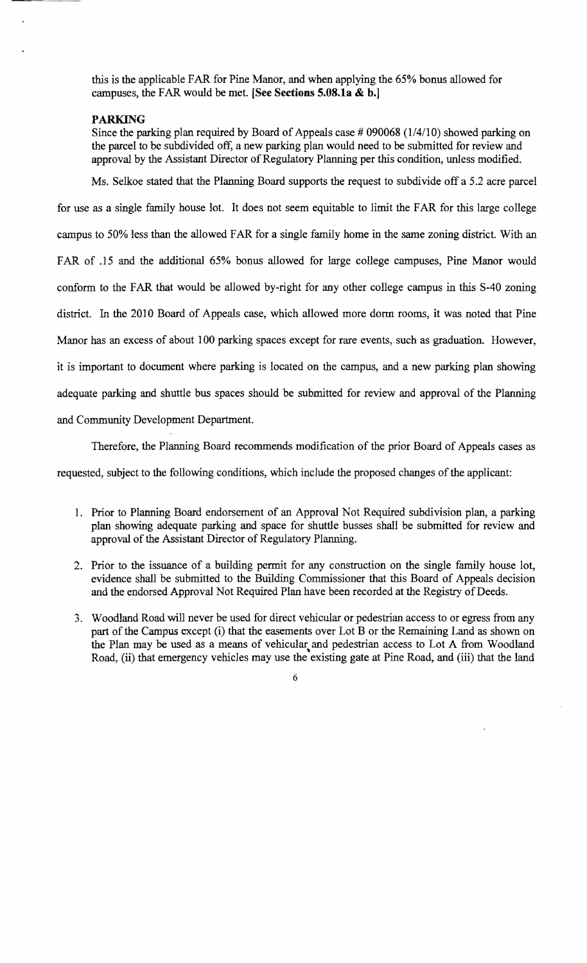this is the applicable FAR for Pine Manor, and when applying the 65% bonus allowed for campuses, the FAR would be met. **[See Sections 5.08.1a & b.]** 

#### **PARKING**

Since the parking plan required by Board of Appeals case  $\#$  090068 (1/4/10) showed parking on the parcel to be subdivided off, a new parking plan would need to be submitted for review and approval by the Assistant Director of Regulatory Planning per this condition, unless modified.

Ms. Selkoe stated that the Planning Board supports the request to subdivide off a 5.2 acre parcel for use as a single family house lot. It does not seem equitable to limit the FAR for this large college campus to 50% less than the allowed FAR for a single family home in the same zoning district. With an FAR of .15 and the additional 65% bonus allowed for large college campuses, Pine Manor would conform to the FAR that would be allowed by-right for any other college campus in this S-40 zoning district. In the 2010 Board of Appeals case, which allowed more dorm rooms, it was noted that Pine Manor has an excess of about 100 parking spaces except for rare events, such as graduation. However, it is important to document where parking is located on the campus, and a new parking plan showing adequate parking and shuttle bus spaces should be submitted for review and approval of the Planning and Community Development Department.

Therefore, the Planning Board recommends modification of the prior Board of Appeals cases as

requested, subject to the following conditions, which include the proposed changes of the applicant:

- 1. Prior to Planning Board endorsement of an Approval Not Required subdivision plan, a parking plan showing adequate parking and space for shuttle busses shall be submitted for review and approval of the Assistant Director of Regulatory Planning.
- 2. Prior to the issuance of a building permit for any construction on the single family house lot, evidence shall be submitted to the Building Commissioner that this Board of Appeals decision and the endorsed Approval Not Required Plan have been recorded at the Registry of Deeds.
- 3. Woodland Road will never be used for direct vehicular or pedestrian access to or egress from any part of the Campus except (i) that the easements over Lot B or the Remaining Land as shown on the Plan may be used as a means of vehicular and pedestrian access to Lot A from Woodland Road, (ii) that emergency vehicles may use the existing gate at Pine Road, and (iii) that the land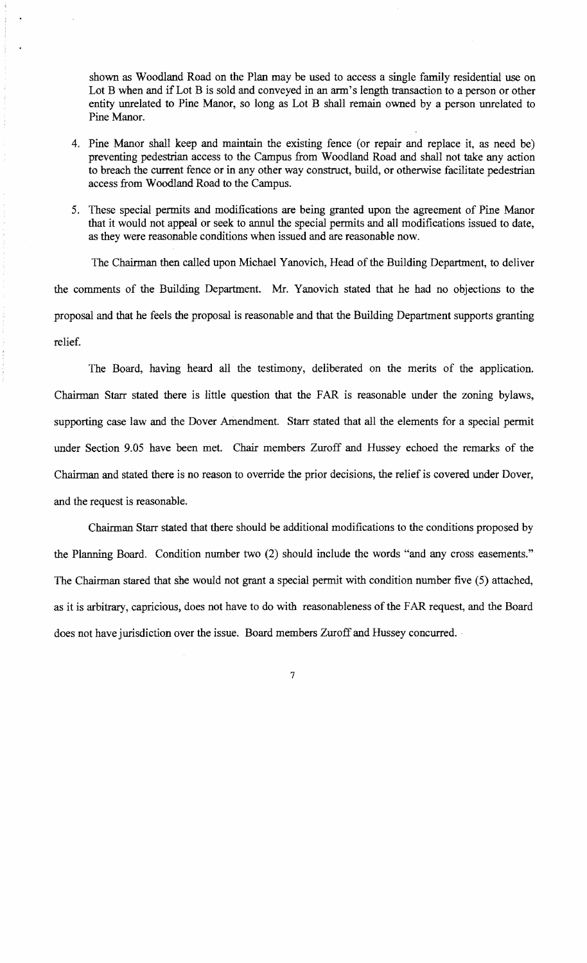shown as Woodland Road on the Plan may be used to access a single family residential use on Lot B when and if Lot B is sold and conveyed in an arm's length transaction to a person or other entity unrelated to Pine Manor, so long as Lot B shall remain owned by a person unrelated to Pine Manor.

- 4. Pine Manor shall keep and maintain the existing fence (or repair and replace it, as need be) preventing pedestrian access to the Campus from Woodland Road and shall not take any action to breach the current fence or in any other way construct, build, or otherwise facilitate pedestrian access from Woodland Road to the Campus.
- 5. These special permits and modifications are being granted upon the agreement of Pine Manor that it would not appeal or seek to annul the special permits and all modifications issued to date, as they were reasonable conditions when issued and are reasonable now.

The Chairman then called upon Michael Yanovich, Head of the Building Department, to deliver the comments of the Building Department. Mr. Yanovich stated that he had no objections to the proposal and that he feels the proposal is reasonable and that the Building Department supports granting relief.

The Board, having heard all the testimony, deliberated on the merits of the application. Chairman Starr stated there is little question that the FARis reasonable under the zoning bylaws, supporting case law and the Dover Amendment. Starr stated that all the elements for a special permit under Section 9.05 have been met. Chair members Zuroff and Hussey echoed the remarks of the Chairman and stated there is no reason to override the prior decisions, the relief is covered under Dover, and the request is reasonable.

Chairman Starr stated that there should be additional modifications to the conditions proposed by the Planning Board. Condition number two (2) should include the words "and any cross easements." The Chairman stared that she would not grant a special permit with condition number five (5) attached, as it is arbitrary, capricious, does not have to do with reasonableness of the FAR request, and the Board does not have jurisdiction over the issue. Board members Zuroff and Hussey concurred.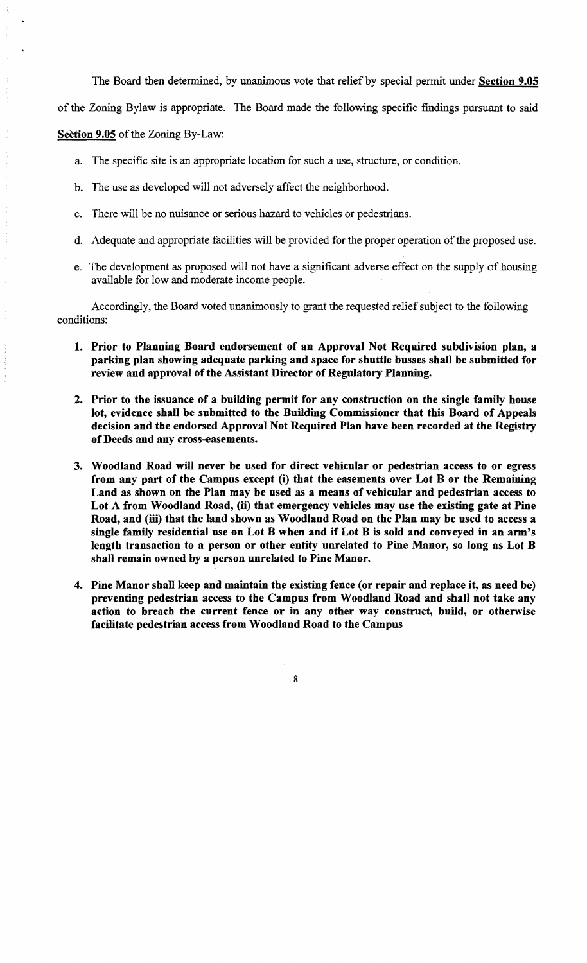The Board then determined, by unanimous vote that relief by special permit under Section 9.05

of the Zoning Bylaw is appropriate. The Board made the following specific findings pursuant to said

### Section 9.05 of the Zoning By-Law:

- a. The specific site is an appropriate location for such a use, structure, or condition.
- b. The use as developed will not adversely affect the neighborhood.
- c. There will be no nuisance or serious hazard to vehicles or pedestrians.
- d. Adequate and appropriate facilities will be provided for the proper operation of the proposed use.
- e. The development as proposed will not have a significant adverse effect on the supply of housing available for low and moderate income people.

Accordingly, the Board voted unanimously to grant the requested relief subject to the following conditions:

- 1. Prior to Planning Board endorsement of an Approval Not Required subdivision plan, a parking plan showing adequate parking and space for shuttle busses shall be submitted for review and approval of the Assistant Director of Regulatory Planning.
- 2. Prior to the issuance of a building permit for any construction on the single family house lot, evidence shall be submitted to the Building Commissioner that this Board of Appeals decision and the endorsed Approval Not Required Plan have been recorded at the Registry ofDeeds and any cross-easements.
- 3. Woodland Road will never be used for direct vehicular or pedestrian access to or egress from any part of the Campus except (i) that the easements over Lot B or the Remaining Land as shown on the Plan may be used as a means of vehicular and pedestrian access to Lot A from Woodland Road, (ii) that emergency vehicles may use the existing gate at Pine Road, and (iii) that the land shown as Woodland Road on the Plan may be used to access a single family residential use on Lot B when and if Lot B is sold and conveyed in an arm's length transaction to a person or other entity unrelated to Pine Manor, so long as Lot B shall remain owned by a person unrelated to Pine Manor.
- 4. Pine Manor shall keep and maintain the existing fence (or repair and replace it, as need be) preventing pedestrian access to the Campus from Woodland Road and shall not take any action to breach the current fence or in any other way construct, build, or otherwise facilitate pedestrian access from Woodland Road to the Campus